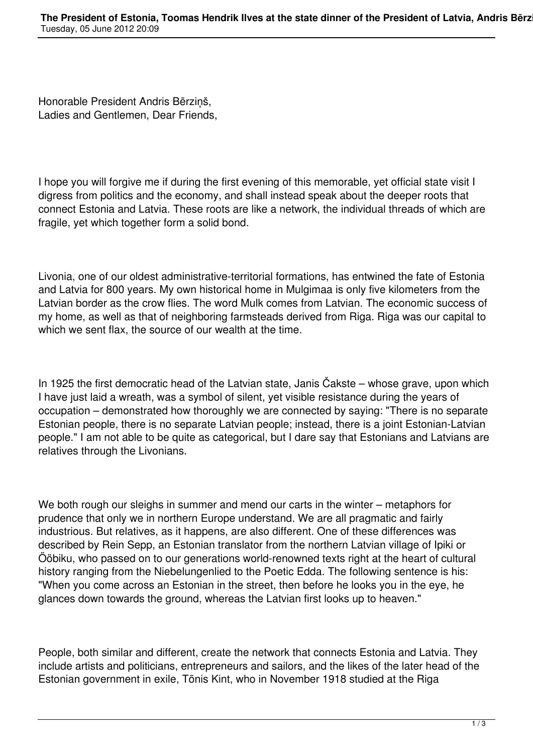Honorable President Andris Bērziņš, Ladies and Gentlemen, Dear Friends,

I hope you will forgive me if during the first evening of this memorable, yet official state visit I digress from politics and the economy, and shall instead speak about the deeper roots that connect Estonia and Latvia. These roots are like a network, the individual threads of which are fragile, yet which together form a solid bond.

Livonia, one of our oldest administrative-territorial formations, has entwined the fate of Estonia and Latvia for 800 years. My own historical home in Mulgimaa is only five kilometers from the Latvian border as the crow flies. The word Mulk comes from Latvian. The economic success of my home, as well as that of neighboring farmsteads derived from Riga. Riga was our capital to which we sent flax, the source of our wealth at the time.

In 1925 the first democratic head of the Latvian state, Janis Čakste – whose grave, upon which I have just laid a wreath, was a symbol of silent, yet visible resistance during the years of occupation – demonstrated how thoroughly we are connected by saying: "There is no separate Estonian people, there is no separate Latvian people; instead, there is a joint Estonian-Latvian people." I am not able to be quite as categorical, but I dare say that Estonians and Latvians are relatives through the Livonians.

We both rough our sleighs in summer and mend our carts in the winter – metaphors for prudence that only we in northern Europe understand. We are all pragmatic and fairly industrious. But relatives, as it happens, are also different. One of these differences was described by Rein Sepp, an Estonian translator from the northern Latvian village of Ipiki or Ööbiku, who passed on to our generations world-renowned texts right at the heart of cultural history ranging from the Niebelungenlied to the Poetic Edda. The following sentence is his: "When you come across an Estonian in the street, then before he looks you in the eye, he glances down towards the ground, whereas the Latvian first looks up to heaven."

People, both similar and different, create the network that connects Estonia and Latvia. They include artists and politicians, entrepreneurs and sailors, and the likes of the later head of the Estonian government in exile, Tõnis Kint, who in November 1918 studied at the Riga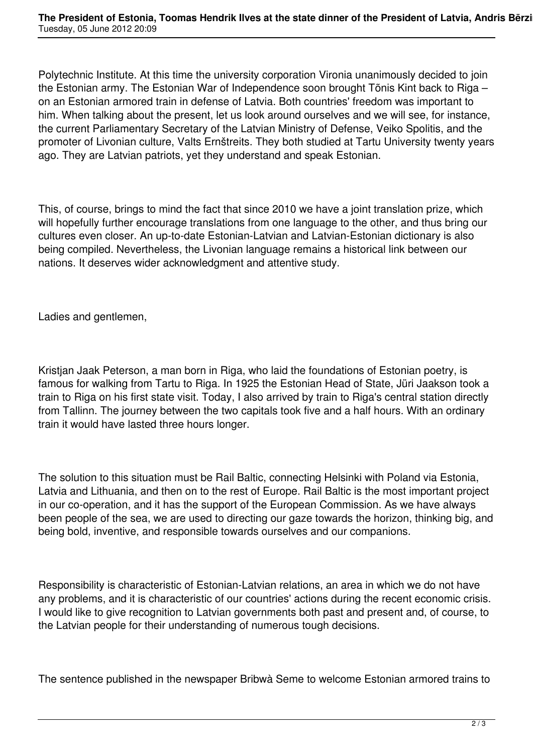Polytechnic Institute. At this time the university corporation Vironia unanimously decided to join the Estonian army. The Estonian War of Independence soon brought Tõnis Kint back to Riga – on an Estonian armored train in defense of Latvia. Both countries' freedom was important to him. When talking about the present, let us look around ourselves and we will see, for instance, the current Parliamentary Secretary of the Latvian Ministry of Defense, Veiko Spolitis, and the promoter of Livonian culture, Valts Ernštreits. They both studied at Tartu University twenty years ago. They are Latvian patriots, yet they understand and speak Estonian.

This, of course, brings to mind the fact that since 2010 we have a joint translation prize, which will hopefully further encourage translations from one language to the other, and thus bring our cultures even closer. An up-to-date Estonian-Latvian and Latvian-Estonian dictionary is also being compiled. Nevertheless, the Livonian language remains a historical link between our nations. It deserves wider acknowledgment and attentive study.

Ladies and gentlemen,

Kristjan Jaak Peterson, a man born in Riga, who laid the foundations of Estonian poetry, is famous for walking from Tartu to Riga. In 1925 the Estonian Head of State, Jüri Jaakson took a train to Riga on his first state visit. Today, I also arrived by train to Riga's central station directly from Tallinn. The journey between the two capitals took five and a half hours. With an ordinary train it would have lasted three hours longer.

The solution to this situation must be Rail Baltic, connecting Helsinki with Poland via Estonia, Latvia and Lithuania, and then on to the rest of Europe. Rail Baltic is the most important project in our co-operation, and it has the support of the European Commission. As we have always been people of the sea, we are used to directing our gaze towards the horizon, thinking big, and being bold, inventive, and responsible towards ourselves and our companions.

Responsibility is characteristic of Estonian-Latvian relations, an area in which we do not have any problems, and it is characteristic of our countries' actions during the recent economic crisis. I would like to give recognition to Latvian governments both past and present and, of course, to the Latvian people for their understanding of numerous tough decisions.

The sentence published in the newspaper Bribwà Seme to welcome Estonian armored trains to